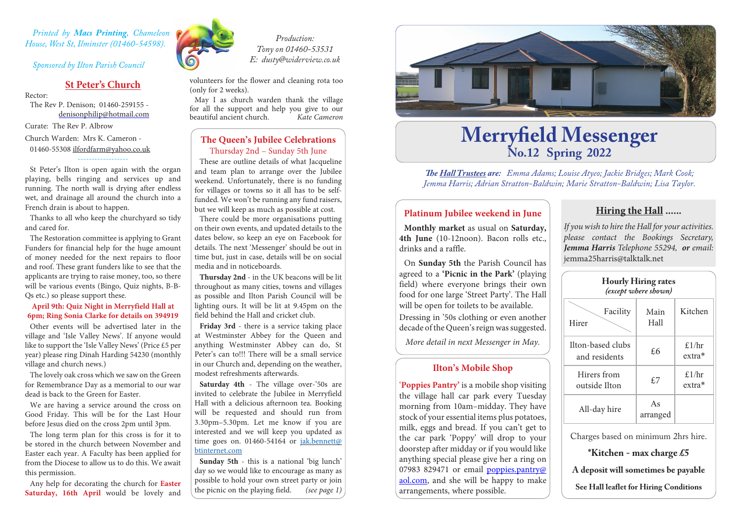*Printed by Macs Printing, Chameleon House, West St, Ilminster (01460-54598).* 

*Sponsored by Ilton Parish Council*

# **St Peter's Church**

Rector:

The Rev P. Denison; 01460-259155 denisonphilip@hotmail.com Curate: The Rev P. Albrow

Church Warden: Mrs K. Cameron -

01460-55308 ilfordfarm@yahoo.co.uk

St Peter's Ilton is open again with the organ playing, bells ringing and services up and running. The north wall is drying after endless wet, and drainage all around the church into a French drain is about to happen.

------------------

Thanks to all who keep the churchyard so tidy and cared for.

The Restoration committee is applying to Grant Funders for financial help for the huge amount of money needed for the next repairs to floor and roof. These grant funders like to see that the applicants are trying to raise money, too, so there will be various events (Bingo, Quiz nights, B-B-Qs etc.) so please support these.

#### **April 9th: Quiz Night in Merryfield Hall at 6pm; Ring Sonia Clarke for details on 394919**

Other events will be advertised later in the village and 'Isle Valley News'. If anyone would like to support the 'Isle Valley News' (Price £5 per year) please ring Dinah Harding 54230 (monthly village and church news.)

The lovely oak cross which we saw on the Green for Remembrance Day as a memorial to our war dead is back to the Green for Easter.

We are having a service around the cross on Good Friday. This will be for the Last Hour before Jesus died on the cross 2pm until 3pm.

The long term plan for this cross is for it to be stored in the church between November and Easter each year. A Faculty has been applied for from the Diocese to allow us to do this. We await this permission.

Any help for decorating the church for **Easter Saturday, 16th April** would be lovely and



*Production: Tony on 01460-53531 E: dusty@widerview.co.uk*

volunteers for the flower and cleaning rota too (only for 2 weeks).

May I as church warden thank the village for all the support and help you give to our<br>beautiful ancient church. Kate Cameron  $beautiful$  ancient church.

# **The Queen's Jubilee Celebrations** Thursday 2nd – Sunday 5th June

These are outline details of what Jacqueline and team plan to arrange over the Jubilee weekend. Unfortunately, there is no funding for villages or towns so it all has to be selffunded. We won't be running any fund raisers, but we will keep as much as possible at cost. There could be more organisations putting on their own events, and updated details to the dates below, so keep an eye on Facebook for details. The next 'Messenger' should be out in time but, just in case, details will be on social media and in noticeboards.

**Thursday 2nd** - in the UK beacons will be lit throughout as many cities, towns and villages as possible and Ilton Parish Council will be lighting ours. It will be lit at 9.45pm on the field behind the Hall and cricket club.

**Friday 3rd** - there is a service taking place at Westminster Abbey for the Queen and anything Westminster Abbey can do, St Peter's can to!!! There will be a small service in our Church and, depending on the weather, modest refreshments afterwards.

**Saturday 4th** - The village over-'50s are invited to celebrate the Jubilee in Merryfield Hall with a delicious afternoon tea. Booking will be requested and should run from 3.30pm–5.30pm. Let me know if you are interested and we will keep you updated as time goes on. 01460-54164 or  $jak.bennett@$ btinternet.com

**Sunday 5th** - this is a national 'big lunch' day so we would like to encourage as many as possible to hold your own street party or join the picnic on the playing field. *(see page 1)*



# **Merryfield Messenger No.12 Spring 2022**

*The Hall Trustees are: Emma Adams; Louise Atyeo; Jackie Bridges; Mark Cook; Jemma Harris; Adrian Stratton-Baldwin; Marie Stratton-Baldwin; Lisa Taylor.*

### **Platinum Jubilee weekend in June**

**Monthly market** as usual on **Saturday, 4th June** (10-12noon). Bacon rolls etc., drinks and a raffle.

On **Sunday 5th** the Parish Council has agreed to a **'Picnic in the Park'** (playing field) where everyone brings their own food for one large 'Street Party'. The Hall will be open for toilets to be available. Dressing in '50s clothing or even another decade of the Queen's reign was suggested.

*More detail in next Messenger in May.*

# **Ilton's Mobile Shop**

'**Poppies Pantry'** is a mobile shop visiting the village hall car park every Tuesday morning from 10am–midday. They have stock of your essential items plus potatoes, milk, eggs and bread. If you can't get to the car park 'Poppy' will drop to your doorstep after midday or if you would like anything special please give her a ring on 07983 829471 or email poppies.pantry@ aol.com, and she will be happy to make arrangements, where possible.

# **Hiring the Hall ......**

*If you wish to hire the Hall for your activities. please contact the Bookings Secretary, Jemma Harris Telephone 55294, or email:*  jemma25harris@talktalk.net

| <b>Hourly Hiring rates</b><br>(except where shown) |                |                    |  |  |
|----------------------------------------------------|----------------|--------------------|--|--|
| Facility<br>Hirer                                  | Main<br>Hall   | Kitchen            |  |  |
| Ilton-based clubs<br>and residents                 | £6             | $f$ 1/hr<br>extra* |  |  |
| Hirers from<br>outside Ilton                       | f.7            | £ $1/hr$<br>extra* |  |  |
| All-day hire                                       | As<br>arranged |                    |  |  |

Charges based on minimum 2hrs hire.

**\*Kitchen - max charge £5**

**A deposit will sometimes be payable**

**See Hall leaflet for Hiring Conditions**